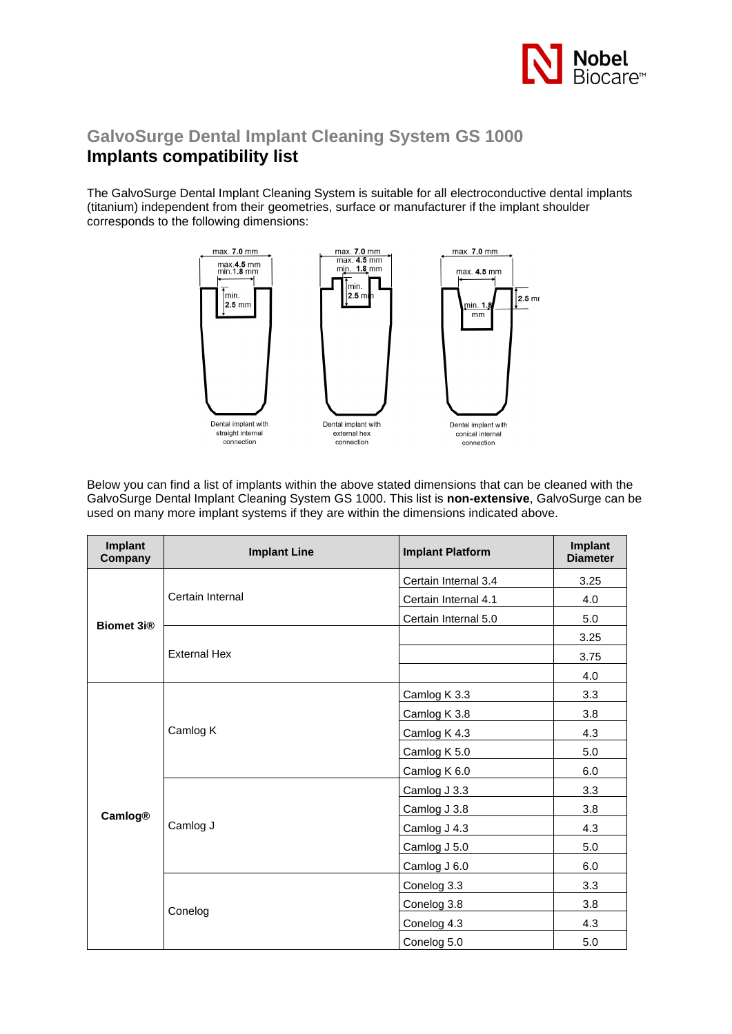

## **GalvoSurge Dental Implant Cleaning System GS 1000 Implants compatibility list**

The GalvoSurge Dental Implant Cleaning System is suitable for all electroconductive dental implants (titanium) independent from their geometries, surface or manufacturer if the implant shoulder corresponds to the following dimensions:



Below you can find a list of implants within the above stated dimensions that can be cleaned with the GalvoSurge Dental Implant Cleaning System GS 1000. This list is **non-extensive**, GalvoSurge can be used on many more implant systems if they are within the dimensions indicated above.

| Implant<br>Company | <b>Implant Line</b> | <b>Implant Platform</b> | Implant<br><b>Diameter</b> |
|--------------------|---------------------|-------------------------|----------------------------|
| <b>Biomet 3i®</b>  | Certain Internal    | Certain Internal 3.4    | 3.25                       |
|                    |                     | Certain Internal 4.1    | 4.0                        |
|                    |                     | Certain Internal 5.0    | 5.0                        |
|                    | <b>External Hex</b> |                         | 3.25                       |
|                    |                     |                         | 3.75                       |
|                    |                     |                         | 4.0                        |
| <b>Camlog®</b>     | Camlog K            | Camlog K 3.3            | 3.3                        |
|                    |                     | Camlog K 3.8            | 3.8                        |
|                    |                     | Camlog K 4.3            | 4.3                        |
|                    |                     | Camlog K 5.0            | 5.0                        |
|                    |                     | Camlog K 6.0            | 6.0                        |
|                    | Camlog J            | Camlog J 3.3            | 3.3                        |
|                    |                     | Camlog J 3.8            | 3.8                        |
|                    |                     | Camlog J 4.3            | 4.3                        |
|                    |                     | Camlog J 5.0            | 5.0                        |
|                    |                     | Camlog J 6.0            | 6.0                        |
|                    | Conelog             | Conelog 3.3             | 3.3                        |
|                    |                     | Conelog 3.8             | 3.8                        |
|                    |                     | Conelog 4.3             | 4.3                        |
|                    |                     | Conelog 5.0             | 5.0                        |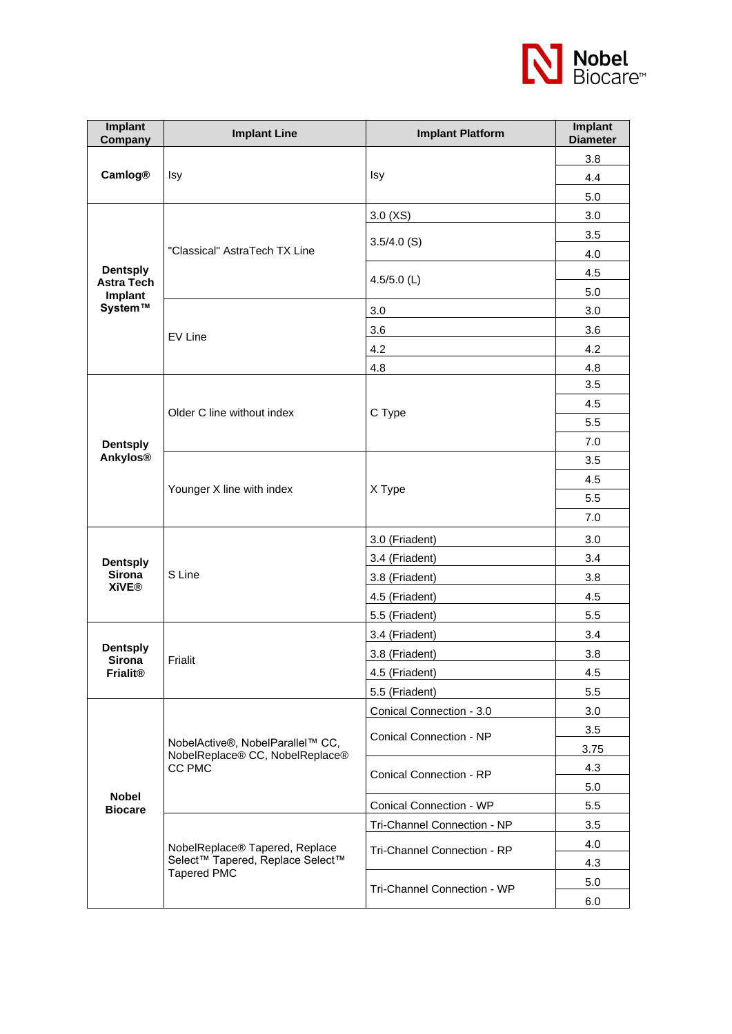

| Implant<br>Company               | <b>Implant Line</b>                                                                      | <b>Implant Platform</b>        | Implant<br><b>Diameter</b> |
|----------------------------------|------------------------------------------------------------------------------------------|--------------------------------|----------------------------|
| <b>Camlog®</b>                   |                                                                                          |                                | 3.8                        |
|                                  | Isy                                                                                      | Isy                            | 4.4                        |
|                                  |                                                                                          |                                | 5.0                        |
|                                  | "Classical" AstraTech TX Line                                                            | 3.0(XS)                        | 3.0                        |
|                                  |                                                                                          |                                | 3.5                        |
|                                  |                                                                                          | $3.5/4.0$ (S)                  | 4.0                        |
| <b>Dentsply</b>                  |                                                                                          | 4.5/5.0 $(L)$                  | 4.5                        |
| <b>Astra Tech</b><br>Implant     |                                                                                          |                                | 5.0                        |
| System™                          | EV Line                                                                                  | 3.0                            | 3.0                        |
|                                  |                                                                                          | 3.6                            | 3.6                        |
|                                  |                                                                                          | 4.2                            | 4.2                        |
|                                  |                                                                                          | 4.8                            | 4.8                        |
|                                  |                                                                                          |                                | 3.5                        |
|                                  | Older C line without index                                                               | C Type                         | 4.5                        |
|                                  |                                                                                          |                                | 5.5                        |
| <b>Dentsply</b>                  |                                                                                          |                                | 7.0                        |
| <b>Ankylos®</b>                  |                                                                                          |                                | 3.5                        |
|                                  |                                                                                          | X Type                         | 4.5                        |
|                                  | Younger X line with index                                                                |                                | 5.5                        |
|                                  |                                                                                          |                                | 7.0                        |
|                                  | S Line                                                                                   | 3.0 (Friadent)                 | 3.0                        |
| <b>Dentsply</b><br><b>Sirona</b> |                                                                                          | 3.4 (Friadent)                 | 3.4                        |
|                                  |                                                                                          | 3.8 (Friadent)                 | 3.8                        |
| <b>XiVE®</b>                     |                                                                                          | 4.5 (Friadent)                 | 4.5                        |
|                                  |                                                                                          | 5.5 (Friadent)                 | 5.5                        |
|                                  | Frialit                                                                                  | 3.4 (Friadent)                 | 3.4                        |
| <b>Dentsply</b><br><b>Sirona</b> |                                                                                          | 3.8 (Friadent)                 | 3.8                        |
| <b>Frialit®</b>                  |                                                                                          | 4.5 (Friadent)                 | 4.5                        |
|                                  |                                                                                          | 5.5 (Friadent)                 | 5.5                        |
|                                  | NobelActive®, NobelParallel™ CC,<br>NobelReplace® CC, NobelReplace®<br>CC PMC            | Conical Connection - 3.0       | 3.0                        |
|                                  |                                                                                          | Conical Connection - NP        | 3.5                        |
|                                  |                                                                                          |                                | 3.75                       |
|                                  |                                                                                          | <b>Conical Connection - RP</b> | 4.3                        |
|                                  |                                                                                          |                                | 5.0                        |
| <b>Nobel</b><br><b>Biocare</b>   |                                                                                          | Conical Connection - WP        | 5.5                        |
|                                  | NobelReplace® Tapered, Replace<br>Select™ Tapered, Replace Select™<br><b>Tapered PMC</b> | Tri-Channel Connection - NP    | 3.5                        |
|                                  |                                                                                          | Tri-Channel Connection - RP    | 4.0                        |
|                                  |                                                                                          |                                | 4.3                        |
|                                  |                                                                                          | Tri-Channel Connection - WP    | 5.0                        |
|                                  |                                                                                          |                                | 6.0                        |